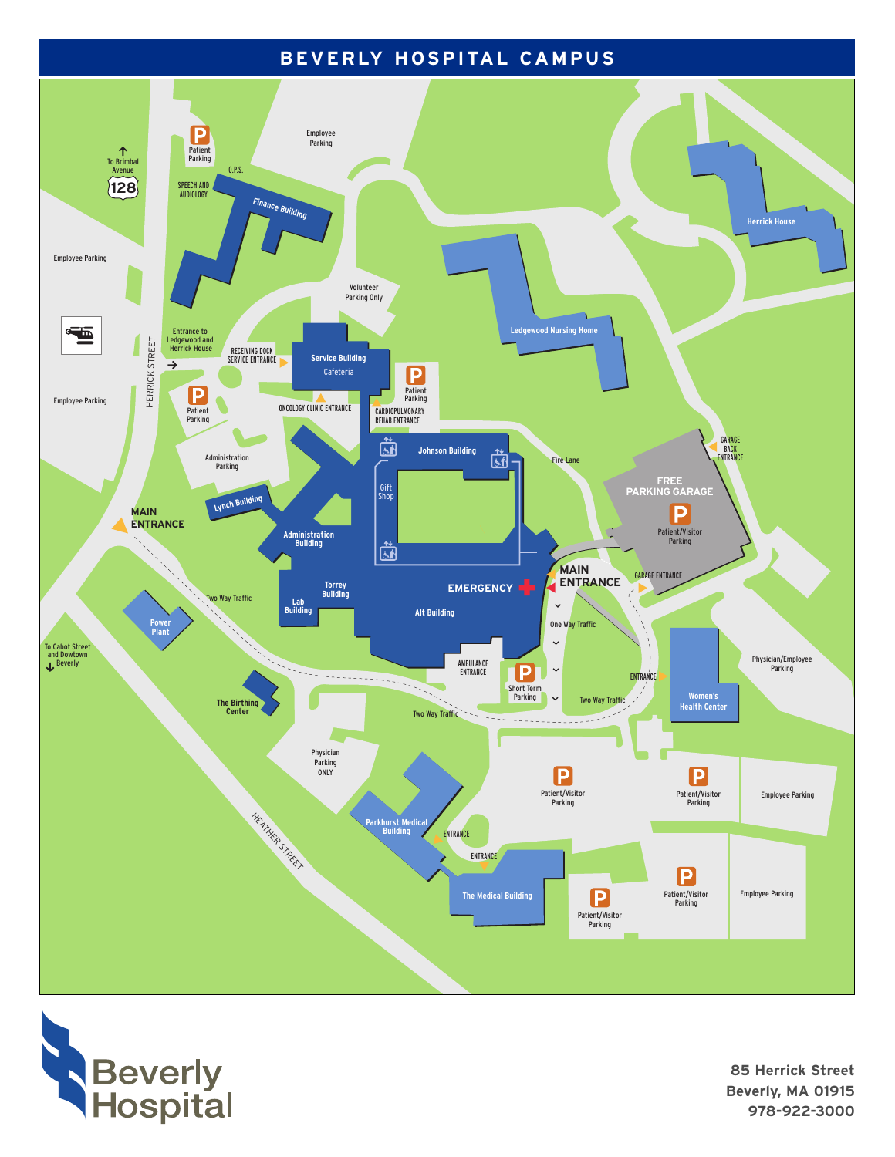## BEVERLY HOSPITAL CAMPUS





85 Herrick Street Beverly, MA 01915 978-922-3000